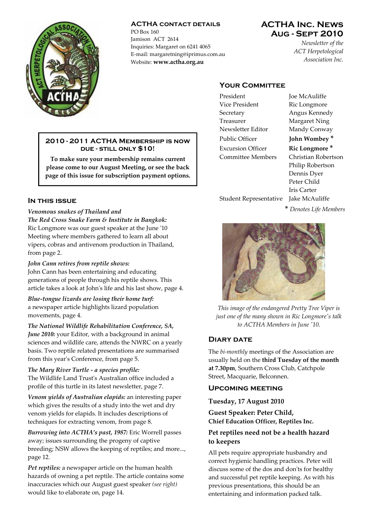

### **ACTHA contact details**

PO Box 160 Jamison ACT 2614 Inquiries: Margaret on 6241 4065 E‐mail: margaretning@iprimus.com.au Website: **www.actha.org.au**

# **ACTHA Inc. News Aug - Sept 2010**

*Newsletter of the ACT Herpetological Association Inc.*

# **YOUR COMMITTEE**

| Vice President           | Ric 1 |
|--------------------------|-------|
| Secretary                | Ang   |
| Treasurer                | Mar   |
| Newsletter Editor        | Mar   |
| Public Officer           | Johi  |
| <b>Excursion Officer</b> | Ric   |
| <b>Committee Members</b> | Chri  |
|                          | Phil  |
|                          | Den   |
|                          | Pete  |
|                          |       |

President Joe McAuliffe Longmore us Kennedy garet Ning ndy Conway Public Officer **John Wombey \***

# **Longmore**  $*$ istian Robertson ip Robertson nis Dyer r Child Iris Carter

Student Representative Jake McAuliffe

**\*** *Denotes Life Members*



*This image of the endangered Pretty Tree Viper is just one of the many shown in Ric Longmoreʹs talk to ACTHA Members in June ʹ10.*

## **Diary date**

The *bi‐monthly* meetings of the Association are usually held on the **third Tuesday of the month at 7.30pm**, Southern Cross Club, Catchpole Street, Macquarie, Belconnen.

## **Upcoming meeting**

### **Tuesday, 17 August 2010**

**Guest Speaker: Peter Child, Chief Education Officer, Reptiles Inc.**

## **Pet reptiles need not be a health hazard to keepers**

All pets require appropriate husbandry and correct hygienic handling practices. Peter will discuss some of the dos and donʹts for healthy and successful pet reptile keeping. As with his previous presentations, this should be an entertaining and information packed talk.

### **2010 - 2011 ACTHA Membership is now due - still only \$10!**

**To make sure your membership remains current please come to our August Meeting, or see the back page of this issue for subscription payment options.**

## **In this issue**

## *Venomous snakes of Thailand and*

*The Red Cross Snake Farm & Institute in Bangkok:*  Ric Longmore was our guest speaker at the June ʹ10 Meeting where members gathered to learn all about vipers, cobras and antivenom production in Thailand, from page 2.

## *John Cann retires from reptile shows:*

John Cann has been entertaining and educating generations of people through his reptile shows. This article takes a look at Johnʹs life and his last show, page 4.

*Blue‐tongue lizards are losing their home turf:* a newspaper article highlights lizard population movements, page 4.

*The National Wildlife Rehabilitation Conference, SA, June 2010:* your Editor, with a background in animal sciences and wildlife care, attends the NWRC on a yearly basis. Two reptile related presentations are summarised from this year's Conference, from page 5.

*The Mary River Turtle ‐ a species profile:* The Wildlife Land Trustʹs Australian office included a profile of this turtle in its latest newsletter, page 7.

*Venom yields of Australian elapids:* an interesting paper which gives the results of a study into the wet and dry venom yields for elapids. It includes descriptions of techniques for extracting venom, from page 8.

*Burrowing into ACTHA's past, 1987:* Eric Worrell passes away; issues surrounding the progeny of captive breeding; NSW allows the keeping of reptiles; and more..., page 12.

*Pet reptiles:* a newspaper article on the human health hazards of owning a pet reptile. The article contains some inaccuracies which our August guest speaker *(see right)* would like to elaborate on, page 14.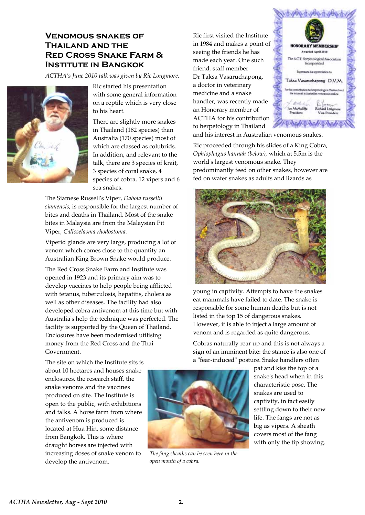# **Venomous snakes of Thailand and the Red Cross Snake Farm & Institute in Bangkok**

*ACTHA's June 2010 talk was given by Ric Longmore.*



Ric started his presentation with some general information on a reptile which is very close to his heart.

There are slightly more snakes in Thailand (182 species) than Australia (170 species) most of which are classed as colubrids. In addition, and relevant to the talk, there are 3 species of krait, 3 species of coral snake, 4 species of cobra, 12 vipers and 6 sea snakes.

The Siamese Russellʹs Viper, *Daboia russellii siamensis*, is responsible for the largest number of bites and deaths in Thailand. Most of the snake bites in Malaysia are from the Malaysian Pit Viper, *Calloselasma rhodostoma.*

Viperid glands are very large, producing a lot of venom which comes close to the quantity an Australian King Brown Snake would produce.

The Red Cross Snake Farm and Institute was opened in 1923 and its primary aim was to develop vaccines to help people being afflicted with tetanus, tuberculosis, hepatitis, cholera as well as other diseases. The facility had also developed cobra antivenom at this time but with Australiaʹs help the technique was perfected. The facility is supported by the Queen of Thailand. Enclosures have been modernised utilising money from the Red Cross and the Thai Government.

The site on which the Institute sits is about 10 hectares and houses snake enclosures, the research staff, the snake venoms and the vaccines produced on site. The Institute is open to the public, with exhibitions and talks. A horse farm from where the antivenom is produced is located at Hua Hin, some distance from Bangkok. This is where draught horses are injected with increasing doses of snake venom to develop the antivenom.

Ric first visited the Institute in 1984 and makes a point of seeing the friends he has made each year. One such friend, staff member Dr Taksa Vasaruchapong, a doctor in veterinary medicine and a snake handler, was recently made an Honorary member of ACTHA for his contribution to herpetology in Thailand



and his interest in Australian venomous snakes.

Ric proceeded through his slides of a King Cobra, *Ophiophagus hannah (below),* which at 5.5m is the world's largest venomous snake. They predominantly feed on other snakes, however are fed on water snakes as adults and lizards as



young in captivity. Attempts to have the snakes eat mammals have failed to date. The snake is responsible for some human deaths but is not listed in the top 15 of dangerous snakes. However, it is able to inject a large amount of venom and is regarded as quite dangerous.

Cobras naturally rear up and this is not always a sign of an imminent bite: the stance is also one of a "fear-induced" posture. Snake handlers often

> pat and kiss the top of a snakeʹs head when in this characteristic pose. The snakes are used to captivity, in fact easily settling down to their new life. The fangs are not as big as vipers. A sheath covers most of the fang with only the tip showing.



*The fang sheaths can be seen here in the open mouth of a cobra.*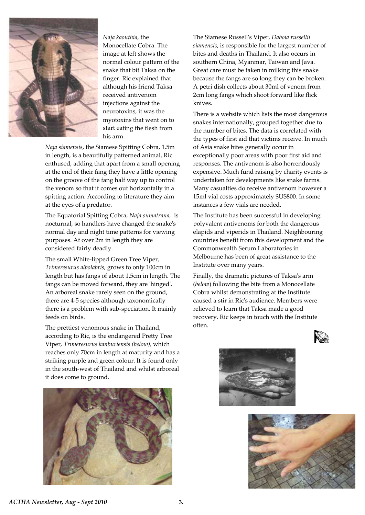

*Naja kaouthia,* the Monocellate Cobra. The image at left shows the normal colour pattern of the snake that bit Taksa on the finger. Ric explained that although his friend Taksa received antivenom injections against the neurotoxins, it was the myotoxins that went on to start eating the flesh from his arm.

*Naja siamensis*, the Siamese Spitting Cobra, 1.5m in length, is a beautifully patterned animal, Ric enthused, adding that apart from a small opening at the end of their fang they have a little opening on the groove of the fang half way up to control the venom so that it comes out horizontally in a spitting action. According to literature they aim at the eyes of a predator.

The Equatorial Spitting Cobra, *Naja sumatrana,* is nocturnal, so handlers have changed the snakeʹs normal day and night time patterns for viewing purposes. At over 2m in length they are considered fairly deadly.

The small White‐lipped Green Tree Viper, *Trimeresurus albolabris,* grows to only 100cm in length but has fangs of about 1.5cm in length. The fangs can be moved forward, they are 'hinged'. An arboreal snake rarely seen on the ground, there are 4‐5 species although taxonomically there is a problem with sub‐speciation. It mainly feeds on birds.

The prettiest venomous snake in Thailand, according to Ric, is the endangered Pretty Tree Viper, *Trimeresurus kanburiensis (below),* which reaches only 70cm in length at maturity and has a striking purple and green colour. It is found only in the south‐west of Thailand and whilst arboreal it does come to ground.



The Siamese Russellʹs Viper, *Daboia russellii siamensis*, is responsible for the largest number of bites and deaths in Thailand. It also occurs in southern China, Myanmar, Taiwan and Java. Great care must be taken in milking this snake because the fangs are so long they can be broken. A petri dish collects about 30ml of venom from 2cm long fangs which shoot forward like flick knives.

There is a website which lists the most dangerous snakes internationally, grouped together due to the number of bites. The data is correlated with the types of first aid that victims receive. In much of Asia snake bites generally occur in exceptionally poor areas with poor first aid and responses. The antivenom is also horrendously expensive. Much fund raising by charity events is undertaken for developments like snake farms. Many casualties do receive antivenom however a 15ml vial costs approximately \$US800. In some instances a few vials are needed.

The Institute has been successful in developing polyvalent antivenoms for both the dangerous elapids and viperids in Thailand. Neighbouring countries benefit from this development and the Commonwealth Serum Laboratories in Melbourne has been of great assistance to the Institute over many years.

Finally, the dramatic pictures of Taksaʹs arm (*below*) following the bite from a Monocellate Cobra whilst demonstrating at the Institute caused a stir in Ricʹs audience. Members were relieved to learn that Taksa made a good recovery. Ric keeps in touch with the Institute often.





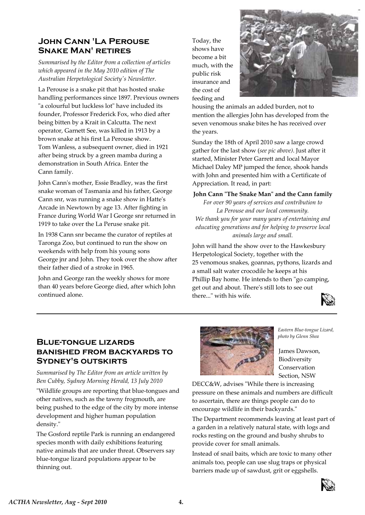# **John Cann 'La Perouse Snake Man' retires**

*Summarised by the Editor from a collection of articles which appeared in the May 2010 edition of The Australian Herpetological Societyʹs Newsletter.*

La Perouse is a snake pit that has hosted snake handling performances since 1897. Previous owners "a colourful but luckless lot" have included its founder, Professor Frederick Fox, who died after being bitten by a Krait in Calcutta. The next operator, Garnett See, was killed in 1913 by a brown snake at his first La Perouse show. Tom Wanless, a subsequent owner, died in 1921 after being struck by a green mamba during a demonstration in South Africa. Enter the Cann family.

John Cannʹs mother, Essie Bradley, was the first snake woman of Tasmania and his father, George Cann snr, was running a snake show in Hatteʹs Arcade in Newtown by age 13. After fighting in France during World War I George snr returned in 1919 to take over the La Peruse snake pit.

In 1938 Cann snr became the curator of reptiles at Taronga Zoo, but continued to run the show on weekends with help from his young sons George jnr and John. They took over the show after their father died of a stroke in 1965.

John and George ran the weekly shows for more than 40 years before George died, after which John continued alone.

Today, the shows have become a bit much, with the public risk insurance and the cost of feeding and



housing the animals an added burden, not to mention the allergies John has developed from the seven venomous snake bites he has received over the years.

Sunday the 18th of April 2010 saw a large crowd gather for the last show (*see pic above)*. Just after it started, Minister Peter Garrett and local Mayor Michael Daley MP jumped the fence, shook hands with John and presented him with a Certificate of Appreciation. It read, in part:

**John Cann ʺThe Snake Manʺ and the Cann family**

*For over 90 years of services and contribution to La Perouse and our local community. We thank you for your many years of entertaining and educating generations and for helping to preserve local animals large and small.*

John will hand the show over to the Hawkesbury Herpetological Society, together with the 25 venomous snakes, goannas, pythons, lizards and a small salt water crocodile he keeps at his Phillip Bay home. He intends to then "go camping, get out and about. Thereʹs still lots to see out there..." with his wife.



# **Blue-tongue lizards banished from backyards to Sydney's outskirts**

*Summarised by The Editor from an article written by Ben Cubby, Sydney Morning Herald, 13 July 2010*

ʺWildlife groups are reporting that blue‐tongues and other natives, such as the tawny frogmouth, are being pushed to the edge of the city by more intense development and higher human population density."

The Gosford reptile Park is running an endangered species month with daily exhibitions featuring native animals that are under threat. Observers say blue‐tongue lizard populations appear to be thinning out.



*Eastern Blue‐tongue Lizard, photo by Glenn Shea*

James Dawson, Biodiversity Conservation Section, NSW

DECC&W, advises "While there is increasing pressure on these animals and numbers are difficult to ascertain, there are things people can do to encourage wildlife in their backyards."

The Department recommends leaving at least part of a garden in a relatively natural state, with logs and rocks resting on the ground and bushy shrubs to provide cover for small animals.

Instead of snail baits, which are toxic to many other animals too, people can use slug traps or physical barriers made up of sawdust, grit or eggshells.

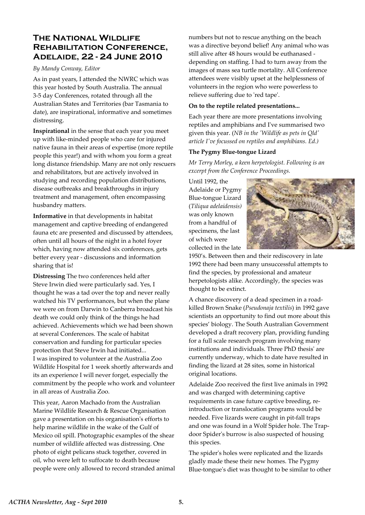# **The National Wildlife Rehabilitation Conference, Adelaide, 22 - 24 June 2010**

### *By Mandy Conway, Editor*

As in past years, I attended the NWRC which was this year hosted by South Australia. The annual 3‐5 day Conferences, rotated through all the Australian States and Territories (bar Tasmania to date), are inspirational, informative and sometimes distressing.

**Inspirational** in the sense that each year you meet up with like‐minded people who care for injured native fauna in their areas of expertise (more reptile people this year!) and with whom you form a great long distance friendship. Many are not only rescuers and rehabilitators, but are actively involved in studying and recording population distributions, disease outbreaks and breakthroughs in injury treatment and management, often encompassing husbandry matters.

**Informative** in that developments in habitat management and captive breeding of endangered fauna etc are presented and discussed by attendees, often until all hours of the night in a hotel foyer which, having now attended six conferences, gets better every year ‐ discussions and information sharing that is!

**Distressing** The two conferences held after Steve Irwin died were particularly sad. Yes, I thought he was a tad over the top and never really watched his TV performances, but when the plane we were on from Darwin to Canberra broadcast his death we could only think of the things he had achieved. Achievements which we had been shown at several Conferences. The scale of habitat conservation and funding for particular species protection that Steve Irwin had initiated... I was inspired to volunteer at the Australia Zoo Wildlife Hospital for 1 week shortly afterwards and its an experience I will never forget, especially the commitment by the people who work and volunteer in all areas of Australia Zoo.

This year, Aaron Machado from the Australian Marine Wildlife Research & Rescue Organisation gave a presentation on his organisationʹs efforts to help marine wildlife in the wake of the Gulf of Mexico oil spill. Photographic examples of the shear number of wildlife affected was distressing. One photo of eight pelicans stuck together, covered in oil, who were left to suffocate to death because people were only allowed to record stranded animal numbers but not to rescue anything on the beach was a directive beyond belief! Any animal who was still alive after 48 hours would be euthanased ‐ depending on staffing. I had to turn away from the images of mass sea turtle mortality. All Conference attendees were visibly upset at the helplessness of volunteers in the region who were powerless to relieve suffering due to 'red tape'.

### **On to the reptile related presentations...**

Each year there are more presentations involving reptiles and amphibians and Iʹve summarised two given this year. (*NB in the ʹWildlife as pets in Qldʹ article Iʹve focussed on reptiles and amphibians. Ed.)*

## **The Pygmy Blue‐tongue Lizard**

*Mr Terry Morley, a keen herpetologist. Following is an excerpt from the Conference Proceedings.*

Until 1992, the Adelaide or Pygmy Blue‐tongue Lizard (*Tiliqua adelaidensis)* was only known from a handful of specimens, the last of which were collected in the late



1950's. Between then and their rediscovery in late 1992 there had been many unsuccessful attempts to find the species, by professional and amateur herpetologists alike. Accordingly, the species was thought to be extinct.

A chance discovery of a dead specimen in a road‐ killed Brown Snake (*Pseudonaja textilis*) in 1992 gave scientists an opportunity to find out more about this species' biology. The South Australian Government developed a draft recovery plan, providing funding for a full scale research program involving many institutions and individuals. Three PhD thesisʹ are currently underway, which to date have resulted in finding the lizard at 28 sites, some in historical original locations.

Adelaide Zoo received the first live animals in 1992 and was charged with determining captive requirements in case future captive breeding, re‐ introduction or translocation programs would be needed. Five lizards were caught in pit‐fall traps and one was found in a Wolf Spider hole. The Trapdoor Spiderʹs burrow is also suspected of housing this species.

The spiderʹs holes were replicated and the lizards gladly made these their new homes. The Pygmy Blue‐tongueʹs diet was thought to be similar to other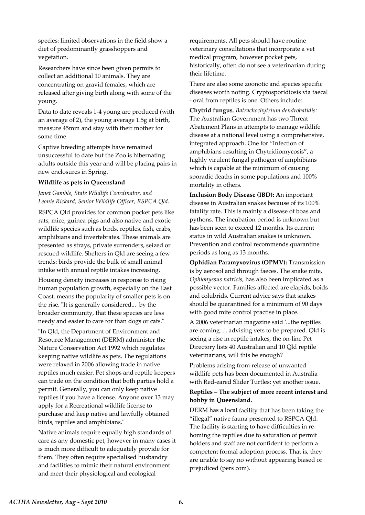species: limited observations in the field show a diet of predominantly grasshoppers and vegetation.

Researchers have since been given permits to collect an additional 10 animals. They are concentrating on gravid females, which are released after giving birth along with some of the young.

Data to date reveals 1‐4 young are produced (with an average of 2), the young average 1.5g at birth, measure 45mm and stay with their mother for some time.

Captive breeding attempts have remained unsuccessful to date but the Zoo is hibernating adults outside this year and will be placing pairs in new enclosures in Spring.

#### **Wildlife as pets in Queensland**

## *Janet Gamble, State Wildlife Coordinator, and Leonie Rickard, Senior Wildlife Officer, RSPCA Qld.*

RSPCA Qld provides for common pocket pets like rats, mice, guinea pigs and also native and exotic wildlife species such as birds, reptiles, fish, crabs, amphibians and invertebrates. These animals are presented as strays, private surrenders, seized or rescued wildlife. Shelters in Qld are seeing a few trends: birds provide the bulk of small animal intake with annual reptile intakes increasing.

Housing density increases in response to rising human population growth, especially on the East Coast, means the popularity of smaller pets is on the rise. "It is generally considered... by the broader community, that these species are less needy and easier to care for than dogs or cats."

"In Qld, the Department of Environment and Resource Management (DERM) administer the Nature Conservation Act 1992 which regulates keeping native wildlife as pets. The regulations were relaxed in 2006 allowing trade in native reptiles much easier. Pet shops and reptile keepers can trade on the condition that both parties hold a permit. Generally, you can only keep native reptiles if you have a license. Anyone over 13 may apply for a Recreational wildlife license to purchase and keep native and lawfully obtained birds, reptiles and amphibians."

Native animals require equally high standards of care as any domestic pet, however in many cases it is much more difficult to adequately provide for them. They often require specialised husbandry and facilities to mimic their natural environment and meet their physiological and ecological

requirements. All pets should have routine veterinary consultations that incorporate a vet medical program, however pocket pets, historically, often do not see a veterinarian during their lifetime.

There are also some zoonotic and species specific diseases worth noting. Cryptosporidiosis via faecal ‐ oral from reptiles is one. Others include:

**Chytrid fungus**, *Batrachochytrium dendrobatidis:* The Australian Government has two Threat Abatement Plans in attempts to manage wildlife disease at a national level using a comprehensive, integrated approach. One for "Infection of amphibians resulting in Chytridiomycosis", a highly virulent fungal pathogen of amphibians which is capable at the minimum of causing sporadic deaths in some populations and 100% mortality in others.

**Inclusion Body Disease (IBD): A**n important disease in Australian snakes because of its 100% fatality rate. This is mainly a disease of boas and pythons. The incubation period is unknown but has been seen to exceed 12 months. Its current status in wild Australian snakes is unknown. Prevention and control recommends quarantine periods as long as 13 months.

**Ophidian Paramyxovirus (OPMV):** Transmission is by aerosol and through faeces. The snake mite, *Ophionyssus natricis,* has also been implicated as a possible vector. Families affected are elapids, boids and colubrids. Current advice says that snakes should be quarantined for a minimum of 90 days with good mite control practise in place.

A 2006 veterinarian magazine said ʹ...the reptiles are coming...', advising vets to be prepared. Qld is seeing a rise in reptile intakes, the on‐line Pet Directory lists 40 Australian and 10 Qld reptile veterinarians, will this be enough?

Problems arising from release of unwanted wildlife pets has been documented in Australia with Red‐eared Slider Turtles: yet another issue.

### **Reptiles – The subject of more recent interest and hobby in Queensland.**

DERM has a local facility that has been taking the "illegal" native fauna presented to RSPCA Qld. The facility is starting to have difficulties in re‐ homing the reptiles due to saturation of permit holders and staff are not confident to perform a competent formal adoption process. That is, they are unable to say no without appearing biased or prejudiced (pers com).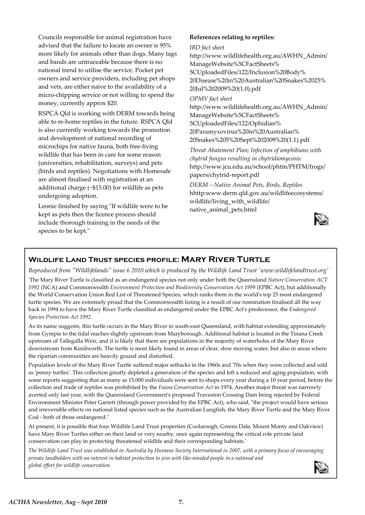Councils responsible for animal registration have advised that the failure to locate an owner is 95% more likely for animals other than dogs. Many tags and bands are untraceable because there is no national trend to utilise the service. Pocket pet owners and service providers, including pet shops and vets, are either naive to the availability of a micro‐chipping service or not willing to spend the money, currently approx \$20.

RSPCA Qld is working with DERM towards being able to re‐home reptiles in the future. RSPCA Qld is also currently working towards the promotion and development of national recording of microchips for native fauna, both free‐living wildlife that has been in care for some reason (universities, rehabilitation, surveys) and pets (birds and reptiles). Negotiations with Homesafe are almost finalised with registration at an additional charge (~\$15.00) for wildlife as pets undergoing adoption.

Leonie finished by saying "If wildlife were to be kept as pets then the licence process should include thorough training in the needs of the species to be kept."

### **References relating to reptiles:**

#### *IBD fact sheet*

http://www.wildlifehealth.org.au/AWHN\_Admin/ ManageWebsite%5CFactSheets% 5CUploadedFiles/122/Inclusion%20Body% 20Disease%20in%20Australian%20Snakes%2025% 20Jul%202009%20(1.0).pdf

### *OPMV fact sheet*

http://www.wildlifehealth.org.au/AWHN\_Admin/ ManageWebsite%5CFactSheets% 5CUploadedFiles/122/Ophidian% 20Paramyxovirus%20in%20Australian% 20Snakes%205%20Sept%202009%20(1.1).pdf

*Threat Abatement Plan; Infection of amphibians with chytrid fungus resulting in chytridiomycosis:* http://www.jcu.edu.au/school/phtm/PHTM/frogs/ papers/chytrid‐report.pdf

*DERM – Native Animal Pets, Birds, Reptiles* hhttp:www.derm.qld.gov.au/wildlifeecosystems/ wildlife/living\_with\_wildlife/ native\_animal\_pets.html



## **Wildlife Land Trust species profile: Mary River Turtle**

Reproduced from "Wildlifelands" issue 6 2010 which is produced by the Wildlife Land Trust 'www.wildlifelandtrust.org' ʹThe Mary River Turtle is classified as an endangered species not only under both the Queensland *Nature Conservation ACT 1992* (NCA) and Commonwealth *Environment Protection and Biodiversity Conservation Act 1999* (EPBC Act), but additionally the World Conservation Union Red List of Threatened Species, which ranks them in the worldʹs top 25 most endangered turtle species. We are extremely proud that the Commonwealth listing is a result of our nomination finalised all the way back in 1994 to have the Mary River Turtle classified as endangered under the EPBC Actʹs predecessor, the *Endangered Species Protection Act 1992.*

As its name suggests, this turtle occurs in the Mary River in south-east Queensland, with habitat extending approximately from Gympie to the tidal reaches slightly upstream from Maryborough. Additional habitat is located in the Tinana Creek upstream of Tallegalla Weir, and it is likely that there are populations in the majority of waterholes of the Mary River downstream from Kenilworth. The turtle is most likely found in areas of clear, slow moving water, but also in areas where the riparian communities are heavily grazed and disturbed.

Population levels of the Mary River Turtle suffered major setbacks in the 1960s and ʹ70s when they were collected and sold as 'penny turtles'. This collection greatly depleted a generation of the species and left a reduced and aging population, with some reports suggesting that as many as 15,000 individuals were sent to shops every year during a 10 year period, before the collection and trade of reptiles was prohibited by the *Fauna Conservation Act* in 1974. Another major threat was narrowly averted only last year, with the Queensland Governmentʹs proposed Traveston Crossing Dam being rejected by Federal Environment Minister Peter Garrett (through power provided by the EPBC Act), who said, "the project would have serious and irreversible effects on national listed species such as the Australian Lungfish, the Mary River Turtle and the Mary River Cod - both of those endangered."

At present, it is possible that four Wildlife Land Trust properties (Coolaroogh, Greens Dale, Mount Monty and Oakview) have Mary River Turtles either on their land or very nearby, once again representing the critical role private land conservation can play in protecting threatened wildlife and their corresponding habitats.ʹ

The Wildlife Land Trust was established in Australia by Humane Society International in 2007, with a primary focus of encouraging private landholders with an interest in habitat protection to join with like-minded people in a national and *global effort for wildlife conservation.*

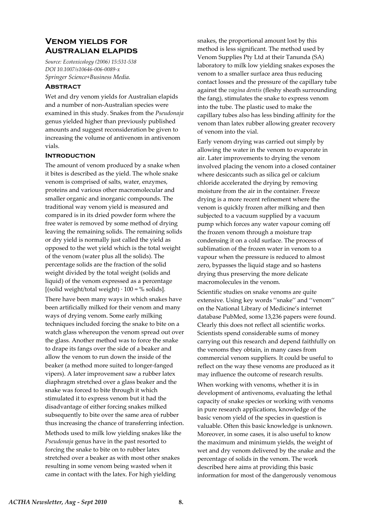# **Venom yields for Australian elapids**

*Source: Ecotoxicology (2006) 15:531‐538 DOI 10.1007/s10646‐006‐0089‐x Springer Science+Business Media.*

### **Abstract**

Wet and dry venom yields for Australian elapids and a number of non‐Australian species were examined in this study. Snakes from the *Pseudonaja* genus yielded higher than previously published amounts and suggest reconsideration be given to increasing the volume of antivenom in antivenom vials.

#### **Introduction**

The amount of venom produced by a snake when it bites is described as the yield. The whole snake venom is comprised of salts, water, enzymes, proteins and various other macromolecular and smaller organic and inorganic compounds. The traditional way venom yield is measured and compared is in its dried powder form where the free water is removed by some method of drying leaving the remaining solids. The remaining solids or dry yield is normally just called the yield as opposed to the wet yield which is the total weight of the venom (water plus all the solids). The percentage solids are the fraction of the solid weight divided by the total weight (solids and liquid) of the venom expressed as a percentage [(solid weight/total weight) ∙ 100 = % solids].

There have been many ways in which snakes have been artificially milked for their venom and many ways of drying venom. Some early milking techniques included forcing the snake to bite on a watch glass whereupon the venom spread out over the glass. Another method was to force the snake to drape its fangs over the side of a beaker and allow the venom to run down the inside of the beaker (a method more suited to longer‐fanged vipers). A later improvement saw a rubber latex diaphragm stretched over a glass beaker and the snake was forced to bite through it which stimulated it to express venom but it had the disadvantage of either forcing snakes milked subsequently to bite over the same area of rubber thus increasing the chance of transferring infection. Methods used to milk low yielding snakes like the *Pseudonaja* genus have in the past resorted to forcing the snake to bite on to rubber latex stretched over a beaker as with most other snakes resulting in some venom being wasted when it came in contact with the latex. For high yielding

snakes, the proportional amount lost by this method is less significant. The method used by Venom Supplies Pty Ltd at their Tanunda (SA) laboratory to milk low yielding snakes exposes the venom to a smaller surface area thus reducing contact losses and the pressure of the capillary tube against the *vagina dentis* (fleshy sheath surrounding the fang), stimulates the snake to express venom into the tube. The plastic used to make the capillary tubes also has less binding affinity for the venom than latex rubber allowing greater recovery of venom into the vial.

Early venom drying was carried out simply by allowing the water in the venom to evaporate in air. Later improvements to drying the venom involved placing the venom into a closed container where desiccants such as silica gel or calcium chloride accelerated the drying by removing moisture from the air in the container. Freeze drying is a more recent refinement where the venom is quickly frozen after milking and then subjected to a vacuum supplied by a vacuum pump which forces any water vapour coming off the frozen venom through a moisture trap condensing it on a cold surface. The process of sublimation of the frozen water in venom to a vapour when the pressure is reduced to almost zero, bypasses the liquid stage and so hastens drying thus preserving the more delicate macromolecules in the venom.

Scientific studies on snake venoms are quite extensive. Using key words ''snake'' and ''venom'' on the National Library of Medicine's internet database PubMed, some 13,236 papers were found. Clearly this does not reflect all scientific works. Scientists spend considerable sums of money carrying out this research and depend faithfully on the venoms they obtain, in many cases from commercial venom suppliers. It could be useful to reflect on the way these venoms are produced as it may influence the outcome of research results.

When working with venoms, whether it is in development of antivenoms, evaluating the lethal capacity of snake species or working with venoms in pure research applications, knowledge of the basic venom yield of the species in question is valuable. Often this basic knowledge is unknown. Moreover, in some cases, it is also useful to know the maximum and minimum yields, the weight of wet and dry venom delivered by the snake and the percentage of solids in the venom. The work described here aims at providing this basic information for most of the dangerously venomous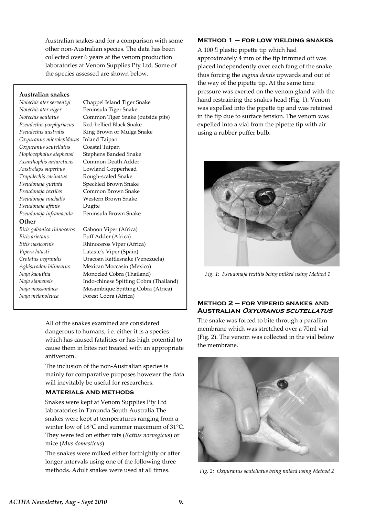Australian snakes and for a comparison with some other non‐Australian species. The data has been collected over 6 years at the venom production laboratories at Venom Supplies Pty Ltd. Some of the species assessed are shown below.

### **Australian snakes**

*Notechis ater serventyi*  Chappel Island Tiger Snake *Notechis ater niger* Peninsula Tiger Snake *Oxyuranus microlepidotus* Inland Taipan *Oxyuranus scutellatus*  Coastal Taipan *Austrelaps superbus*  Lowland Copperhead *Tropidechis carinatus*  Rough‐scaled Snake *Pseudonaja nuchalis*  Western Brown Snake *Pseudonaja affinis*  Dugite

### **Other**

*Bitis gabonica rhinoceros*  Gaboon Viper (Africa) *Bitis arietans*  Puff Adder (Africa) *Naja melanoleuca* Forest Cobra (Africa)

*Notechis scutatus* Common Tiger Snake (outside pits) *Pseudechis porphyriacus*  Red‐bellied Black Snake *Pseudechis australis* King Brown or Mulga Snake *Hoplocephalus stephensi*  Stephens Banded Snake *Acanthophis antarcticus* Common Death Adder *Pseudonaja guttata*  Speckled Brown Snake *Pseudonaja textiles*  Common Brown Snake *Pseudonaja inframacula*  Peninsula Brown Snake

*Bitis nasicornis*  Rhinoceros Viper (Africa) *Vipera latasti*  Lataste's Viper (Spain) *Crotalus vegrandis*  Uracoan Rattlesnake (Venezuela) *Agkistrodon bilineatus*  Mexican Moccasin (Mexico) *Naja kaouthia*  Monocled Cobra (Thailand) *Naja siamensis* Indo‐chinese Spitting Cobra (Thailand) *Naja mossambica*  Mosambique Spitting Cobra (Africa)

> All of the snakes examined are considered dangerous to humans, i.e. either it is a species which has caused fatalities or has high potential to cause them in bites not treated with an appropriate antivenom.

> The inclusion of the non‐Australian species is mainly for comparative purposes however the data will inevitably be useful for researchers.

### **Materials and methods**

Snakes were kept at Venom Supplies Pty Ltd laboratories in Tanunda South Australia The snakes were kept at temperatures ranging from a winter low of 18°C and summer maximum of 31°C. They were fed on either rats (*Rattus norvegicus*) or mice (*Mus domesticus*).

The snakes were milked either fortnightly or after longer intervals using one of the following three methods. Adult snakes were used at all times.

### **Method 1 – for low yielding snakes**

A 100 *l*l plastic pipette tip which had approximately 4 mm of the tip trimmed off was placed independently over each fang of the snake thus forcing the *vagina dentis* upwards and out of the way of the pipette tip. At the same time pressure was exerted on the venom gland with the hand restraining the snakes head (Fig. 1). Venom was expelled into the pipette tip and was retained in the tip due to surface tension. The venom was expelled into a vial from the pipette tip with air using a rubber puffer bulb.



*Fig. 1: Pseudonaja textilis being milked using Method 1*

### **Method 2 – for Viperid snakes and Australian Oxyuranus scutellatus**

The snake was forced to bite through a parafilm membrane which was stretched over a 70ml vial (Fig. 2). The venom was collected in the vial below the membrane.



*Fig. 2: Oxyuranus scutellatus being milked using Method 2*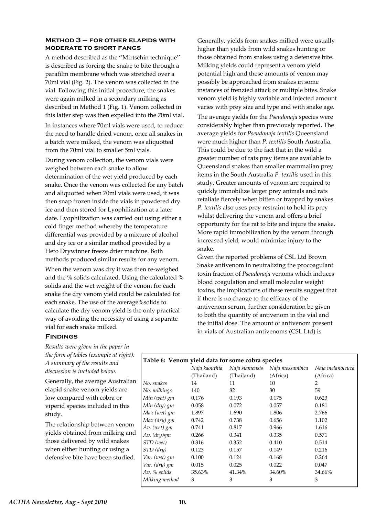### **Method 3 – for other elapids with moderate to short fangs**

A method described as the ''Mirtschin technique'' is described as forcing the snake to bite through a parafilm membrane which was stretched over a 70ml vial (Fig. 2). The venom was collected in the vial. Following this initial procedure, the snakes were again milked in a secondary milking as described in Method 1 (Fig. 1). Venom collected in this latter step was then expelled into the 70ml vial.

In instances where 70ml vials were used, to reduce the need to handle dried venom, once all snakes in a batch were milked, the venom was aliquotted from the 70ml vial to smaller 5ml vials.

During venom collection, the venom vials were weighed between each snake to allow determination of the wet yield produced by each snake. Once the venom was collected for any batch and aliquotted when 70ml vials were used, it was then snap frozen inside the vials in powdered dry ice and then stored for Lyophilization at a later date. Lyophilization was carried out using either a cold finger method whereby the temperature differential was provided by a mixture of alcohol and dry ice or a similar method provided by a Heto Drywinner freeze drier machine. Both methods produced similar results for any venom.

When the venom was dry it was then re-weighed and the % solids calculated. Using the calculated % solids and the wet weight of the venom for each snake the dry venom yield could be calculated for each snake. The use of the average%solids to calculate the dry venom yield is the only practical way of avoiding the necessity of using a separate vial for each snake milked.

Generally, yields from snakes milked were usually higher than yields from wild snakes hunting or those obtained from snakes using a defensive bite. Milking yields could represent a venom yield potential high and these amounts of venom may possibly be approached from snakes in some instances of frenzied attack or multiple bites. Snake venom yield is highly variable and injected amount varies with prey size and type and with snake age.

The average yields for the *Pseudonaja* species were considerably higher than previously reported. The average yields for *Pseudonaja textilis* Queensland were much higher than *P. textilis* South Australia. This could be due to the fact that in the wild a greater number of rats prey items are available to Queensland snakes than smaller mammalian prey items in the South Australia *P. textilis* used in this study. Greater amounts of venom are required to quickly immobilize larger prey animals and rats retaliate fiercely when bitten or trapped by snakes. *P. textilis* also uses prey restraint to hold its prey whilst delivering the venom and offers a brief opportunity for the rat to bite and injure the snake. More rapid immobilization by the venom through increased yield, would minimize injury to the snake.

Given the reported problems of CSL Ltd Brown Snake antivenom in neutralizing the procoagulant toxin fraction of *Pseudonaja* venoms which induces blood coagulation and small molecular weight toxins, the implications of these results suggest that if there is no change to the efficacy of the antivenom serum, further consideration be given to both the quantity of antivenom in the vial and the initial dose. The amount of antivenom present in vials of Australian antivenoms (CSL Ltd) is

## **Findings**

*Results were given in the paper in the form of tables (example at right). A summary of the results and discussion is included below.*

Generally, the average Australian elapid snake venom yields are low compared with cobra or viperid species included in this study.

The relationship between venom yields obtained from milking and those delivered by wild snakes when either hunting or using a defensive bite have been studied.

## **Table 6: Venom yield data for some cobra species**

|                | Naja kaouthia | Naja siamensis | Naja mossambica | Naja melanoleuca |
|----------------|---------------|----------------|-----------------|------------------|
|                | (Thailand)    | (Thailand)     | (Africa)        | (Africa)         |
| No. snakes     | 14            | 11             | 10              | 2                |
| No. milkings   | 140           | 82             | 80              | 59               |
| Min (wet) gm   | 0.176         | 0.193          | 0.175           | 0.623            |
| Min (dry) gm   | 0.058         | 0.072          | 0.057           | 0.181            |
| Max (wet) gm   | 1.897         | 1.690          | 1.806           | 2.766            |
| Max (dry) gm   | 0.742         | 0.738          | 0.656           | 1.102            |
| Av. (wet) gm   | 0.741         | 0.817          | 0.966           | 1.616            |
| Av. (dry)gm    | 0.266         | 0.341          | 0.335           | 0.571            |
| STD (wet)      | 0.316         | 0.352          | 0.410           | 0.514            |
| STD (dry)      | 0.123         | 0.157          | 0.149           | 0.216            |
| Var. (wet) gm  | 0.100         | 0.124          | 0.168           | 0.264            |
| Var. (dry) gm  | 0.015         | 0.025          | 0.022           | 0.047            |
| Av. % solids   | 35.63%        | 41.34%         | 34.60%          | 34.66%           |
| Milking method | 3             | 3              | 3               | 3                |
|                |               |                |                 |                  |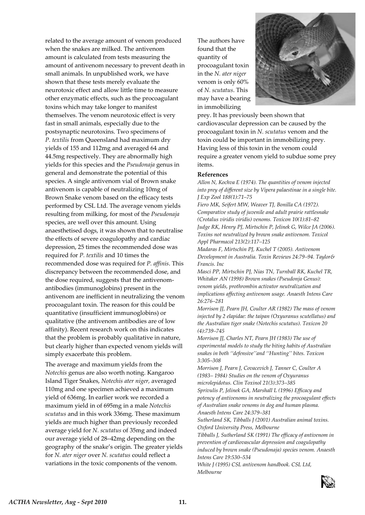related to the average amount of venom produced when the snakes are milked. The antivenom amount is calculated from tests measuring the amount of antivenom necessary to prevent death in small animals. In unpublished work, we have shown that these tests merely evaluate the neurotoxic effect and allow little time to measure other enzymatic effects, such as the procoagulant toxins which may take longer to manifest themselves. The venom neurotoxic effect is very fast in small animals, especially due to the postsynaptic neurotoxins. Two specimens of *P. textilis* from Queensland had maximum dry yields of 155 and 112mg and averaged 64 and 44.5mg respectively. They are abnormally high yields for this species and the *Pseudonaja* genus in general and demonstrate the potential of this species. A single antivenom vial of Brown snake antivenom is capable of neutralizing 10mg of Brown Snake venom based on the efficacy tests performed by CSL Ltd. The average venom yields resulting from milking, for most of the *Pseudonaja* species, are well over this amount. Using anaesthetised dogs, it was shown that to neutralise the effects of severe coagulopathy and cardiac depression, 25 times the recommended dose was required for *P. textilis* and 10 times the recommended dose was required for *P. affinis*. This discrepancy between the recommended dose, and the dose required, suggests that the antivenom‐ antibodies (immunoglobins) present in the antivenom are inefficient in neutralizing the venom procoagulant toxin. The reason for this could be quantitative (insufficient immunoglobins) or qualitative (the antivenom antibodies are of low affinity). Recent research work on this indicates that the problem is probably qualitative in nature, but clearly higher than expected venom yields will simply exacerbate this problem.

The average and maximum yields from the *Notechis* genus are also worth noting. Kangaroo Island Tiger Snakes, *Notechis ater niger,* averaged 110mg and one specimen achieved a maximum yield of 636mg. In earlier work we recorded a maximum yield in of 695mg in a male *Notechis scutatus* and in this work 336mg. These maximum yields are much higher than previously recorded average yield for *N. scutatus* of 35mg and indeed our average yield of 28–42mg depending on the geography of the snake's origin. The greater yields for *N. ater niger* over *N. scutatus* could reflect a variations in the toxic components of the venom.

The authors have found that the quantity of procoagulant toxin in the *N. ater niger* venom is only 60% of *N. scutatus*. This may have a bearing in immobilizing



prey. It has previously been shown that cardiovascular depression can be caused by the procoagulant toxin in *N. scutatus* venom and the toxin could be important in immobilizing prey. Having less of this toxin in the venom could require a greater venom yield to subdue some prey items.

### **References**

*Allon N, Kochva E (1974). The quantities of venom injected into prey of different size by Vipera palaestinae in a single bite. J Exp Zool 188(1):71–75*

*Fiero MK, Seifert MW, Weaver TJ, Bonilla CA (1972). Comparative study of juvenile and adult prairie rattlesnake (Crotalus viridis viridis) venoms. Toxicon 10(1):81–82 Judge RK, Henry PJ, Mirtschin P, Jelinek G, Wilce JA (2006). Toxins not neutralized by brown snake antivenom. Toxicol Appl Pharmacol 213(2):117–125*

*Madaras F, Mirtschin PJ, Kuchel T (2005). Antivenom Development in Australia. Toxin Reviews 24:79–94. Taylor& Francis. Inc*

*Masci PP, Mirtschin PJ, Nias TN, Turnball RK, Kuchel TR, Whitaker AN (1998) Brown snakes (Pseudonja Genus): venom yields, prothrombin activator neutralization and implications affecting antivenom usage. Anaesth Intens Care 26:276–281*

*Morrison JJ, Pearn JH, Coulter AR (1982) The mass of venom injected by 2 elapidae: the taipan (Oxyuranus scutellatus) and the Australian tiger snake (Notechis scutatus). Toxicon 20 (4):739–745*

*Morrison JJ, Charles NT, Pearn JH (1983) The use of experimental models to study the biting habits of Australian snakes in both ''defensive''and ''Hunting'' bites. Toxicon 3:305–308*

*Morrison J, Pearn J, Covacevich J, Tanner C, Coulter A (1983– 1984) Studies on the venom of Oxyuranus microlepidotus. Clin Toxinol 21(3):373–385*

*Sprivulis P, Jelinek GA, Marshall L (1996) Efficacy and potency of antivenoms in neutralizing the procoagulant effects of Australian snake venoms in dog and human plasma. Anaesth Intens Care 24:379–381*

*Sutherland SK, Tibballs J (2001) Australian animal toxins. Oxford University Press, Melbourne*

*Tibballs J, Sutherland SK (1991) The efficacy of antivenom in prevention of cardiovascular depression and coagulopathy induced by brown snake (Pseudonaja) species venom. Anaesth Intens Care 19:530–534*

*White J (1995) CSL antivenom handbook. CSL Ltd, Melbourne*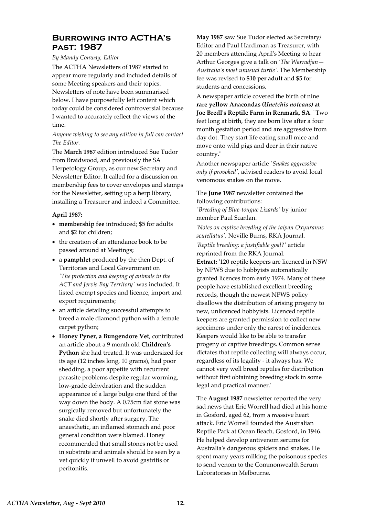# **Burrowing into ACTHA's past: 1987**

### *By Mandy Conway, Editor*

The ACTHA Newsletters of 1987 started to appear more regularly and included details of some Meeting speakers and their topics. Newsletters of note have been summarised below. I have purposefully left content which today could be considered controversial because I wanted to accurately reflect the views of the time.

### *Anyone wishing to see any edition in full can contact The Editor.*

The **March 1987** edition introduced Sue Tudor from Braidwood, and previously the SA Herpetology Group, as our new Secretary and Newsletter Editor. It called for a discussion on membership fees to cover envelopes and stamps for the Newsletter, setting up a herp library, installing a Treasurer and indeed a Committee.

### **April 1987:**

- **membership fee** introduced; \$5 for adults and \$2 for children;
- the creation of an attendance book to be passed around at Meetings;
- a **pamphlet** produced by the then Dept. of Territories and Local Government on *ʹThe protection and keeping of animals in the ACT and Jervis Bay Territoryʹ* was included. It listed exempt species and licence, import and export requirements;
- an article detailing successful attempts to breed a male diamond python with a female carpet python;
- **Honey Pyner, a Bungendore Vet**, contributed an article about a 9 month old **Childrenʹs Python** she had treated. It was undersized for its age (12 inches long, 10 grams), had poor shedding, a poor appetite with recurrent parasite problems despite regular worming, low‐grade dehydration and the sudden appearance of a large bulge one third of the way down the body. A 0.75cm flat stone was surgically removed but unfortunately the snake died shortly after surgery. The anaesthetic, an inflamed stomach and poor general condition were blamed. Honey recommended that small stones not be used in substrate and animals should be seen by a vet quickly if unwell to avoid gastritis or peritonitis.

**May 1987** saw Sue Tudor elected as Secretary/ Editor and Paul Hardiman as Treasurer, with 20 members attending Aprilʹs Meeting to hear Arthur Georges give a talk on *'The Warradjan— Australia's most unusual turtle'.* The Membership fee was revised to **\$10 per adult** and \$5 for students and concessions.

A newspaper article covered the birth of nine **rare yellow Anacondas (***Unetchis noteaus)* **at Joe Bredlʹs Reptile Farm in Renmark, SA**. ʺTwo feet long at birth, they are born live after a four month gestation period and are aggressive from day dot. They start life eating small mice and move onto wild pigs and deer in their native country."

Another newspaper article *ʹSnakes aggressive only if provokedʹ,* advised readers to avoid local venomous snakes on the move.

The **June 1987** newsletter contained the following contributions: *ʹBreeding of Blue‐tongue Lizardsʹ* by junior member Paul Scanlan.

ʹ*Notes on captive breeding of the taipan Oxyuranus scutellatusʹ,* Neville Burns, RKA Journal.

ʹ*Reptile breeding: a justifiable goal?ʹ* article reprinted from the RKA Journal.

**Extract: ʹ**120 reptile keepers are licenced in NSW by NPWS due to hobbyists automatically granted licences from early 1974. Many of these people have established excellent breeding records, though the newest NPWS policy disallows the distribution of arising progeny to new, unlicenced hobbyists. Licenced reptile keepers are granted permission to collect new specimens under only the rarest of incidences. Keepers would like to be able to transfer progeny of captive breedings. Common sense dictates that reptile collecting will always occur, regardless of its legality ‐ it always has. We cannot very well breed reptiles for distribution without first obtaining breeding stock in some legal and practical manner.'

The **August 1987** newsletter reported the very sad news that Eric Worrell had died at his home in Gosford, aged 62, from a massive heart attack. Eric Worrell founded the Australian Reptile Park at Ocean Beach, Gosford, in 1946. He helped develop antivenom serums for Australiaʹs dangerous spiders and snakes. He spent many years milking the poisonous species to send venom to the Commonwealth Serum Laboratories in Melbourne.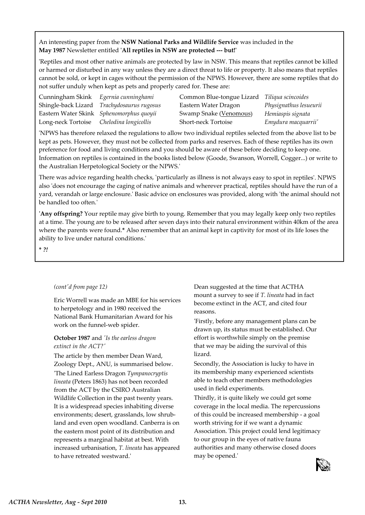An interesting paper from the **NSW National Parks and Wildlife Service** was included in the **May 1987** Newsletter entitled **ʹAll reptiles in NSW are protected ‐‐‐ but!ʹ**

ʹReptiles and most other native animals are protected by law in NSW. This means that reptiles cannot be killed or harmed or disturbed in any way unless they are a direct threat to life or property. It also means that reptiles cannot be sold, or kept in cages without the permission of the NPWS. However, there are some reptiles that do not suffer unduly when kept as pets and properly cared for. These are:

| Cunningham Skink Egernia cunninghami     |                                            | Common Blue-tongue Lizard Tiliqua scincoides |                        |
|------------------------------------------|--------------------------------------------|----------------------------------------------|------------------------|
|                                          | Shingle-back Lizard Trachydosaurus rugosus | Eastern Water Dragon                         | Physignathus lesueurii |
|                                          | Eastern Water Skink Sphenomorphus quoyii   | Swamp Snake (Venomous)                       | Hemiaspis signata      |
| Long-neck Tortoise Chelodina longicollis |                                            | <b>Short-neck Tortoise</b>                   | Emydura macquarrii'    |

ʹNPWS has therefore relaxed the regulations to allow two individual reptiles selected from the above list to be kept as pets. However, they must not be collected from parks and reserves. Each of these reptiles has its own preference for food and living conditions and you should be aware of these before deciding to keep one. Information on reptiles is contained in the books listed below (Goode, Swanson, Worrell, Cogger...) or write to the Australian Herpetological Society or the NPWS.ʹ

There was advice regarding health checks, 'particularly as illness is not always easy to spot in reptiles'. NPWS also 'does not encourage the caging of native animals and wherever practical, reptiles should have the run of a yard, verandah or large enclosure.ʹ Basic advice on enclosures was provided, along with ʹthe animal should not be handled too often.'

**ʹAny offspring?** Your reptile may give birth to young. Remember that you may legally keep only two reptiles at a time. The young are to be released after seven days into their natural environment within 40km of the area where the parents were found.**\*** Also remember that an animal kept in captivity for most of its life loses the ability to live under natural conditions.ʹ

**\*** *?!*

#### *(contʹd from page 12)*

Eric Worrell was made an MBE for his services to herpetology and in 1980 received the National Bank Humanitarian Award for his work on the funnel‐web spider.

### **October 1987** and *ʹIs the earless dragon extinct in the ACT?ʹ*

The article by then member Dean Ward, Zoology Dept., ANU, is summarised below. ʹThe Lined Earless Dragon *Tympanocryptis lineata* (Peters 1863) has not been recorded from the ACT by the CSIRO Australian Wildlife Collection in the past twenty years. It is a widespread species inhabiting diverse environments; desert, grasslands, low shrub‐ land and even open woodland. Canberra is on the eastern most point of its distribution and represents a marginal habitat at best. With increased urbanisation, *T. lineata* has appeared to have retreated westward.'

Dean suggested at the time that ACTHA mount a survey to see if *T. lineata* had in fact become extinct in the ACT, and cited four reasons.

ʹFirstly, before any management plans can be drawn up, its status must be established. Our effort is worthwhile simply on the premise that we may be aiding the survival of this lizard.

Secondly, the Association is lucky to have in its membership many experienced scientists able to teach other members methodologies used in field experiments.

Thirdly, it is quite likely we could get some coverage in the local media. The repercussions of this could be increased membership ‐ a goal worth striving for if we want a dynamic Association. This project could lend legitimacy to our group in the eyes of native fauna authorities and many otherwise closed doors may be opened.'